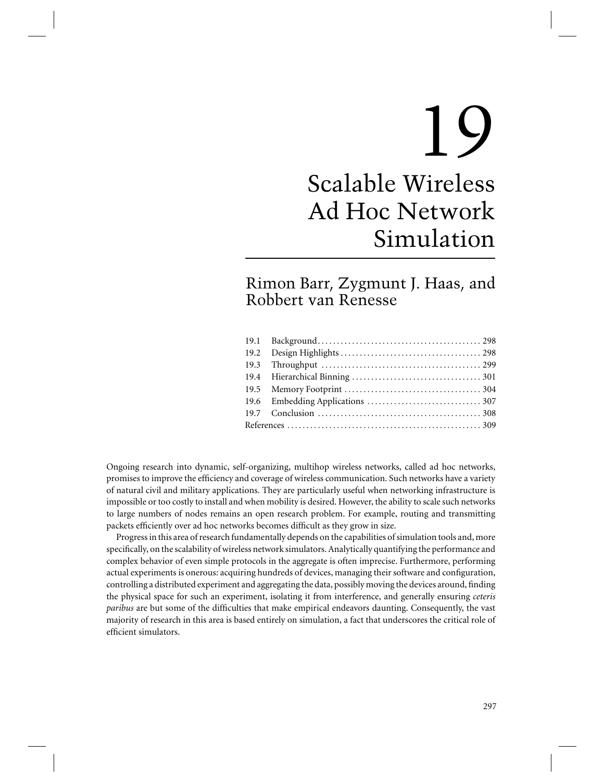# 19 Scalable Wireless Ad Hoc Network Simulation

Rimon Barr, Zygmunt J. Haas, and Robbert van Renesse

Ongoing research into dynamic, self-organizing, multihop wireless networks, called ad hoc networks, promises to improve the efficiency and coverage of wireless communication. Such networks have a variety of natural civil and military applications. They are particularly useful when networking infrastructure is impossible or too costly to install and when mobility is desired. However, the ability to scale such networks to large numbers of nodes remains an open research problem. For example, routing and transmitting packets efficiently over ad hoc networks becomes difficult as they grow in size.

Progress in this area of research fundamentally depends on the capabilities of simulation tools and, more specifically, on the scalability of wireless network simulators. Analytically quantifying the performance and complex behavior of even simple protocols in the aggregate is often imprecise. Furthermore, performing actual experiments is onerous: acquiring hundreds of devices, managing their software and configuration, controlling a distributed experiment and aggregating the data, possibly moving the devices around, finding the physical space for such an experiment, isolating it from interference, and generally ensuring *ceteris paribus* are but some of the difficulties that make empirical endeavors daunting. Consequently, the vast majority of research in this area is based entirely on simulation, a fact that underscores the critical role of efficient simulators.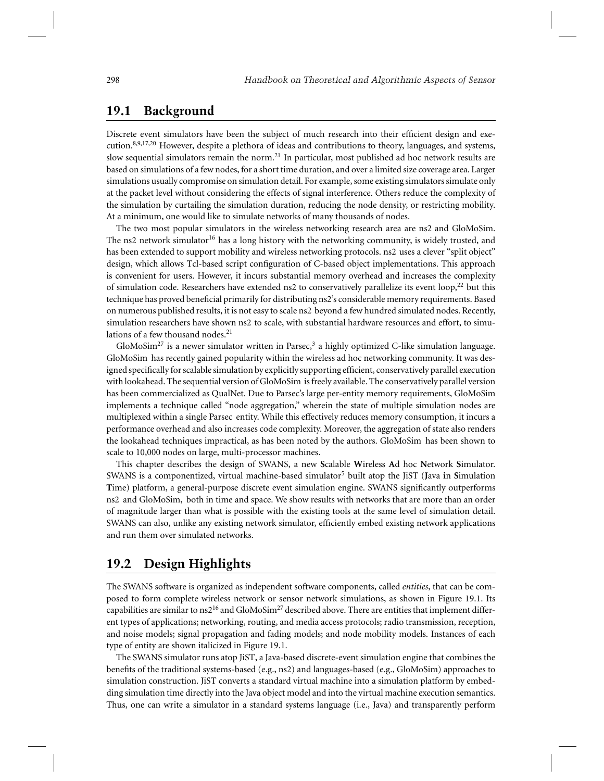### **19.1 Background**

Discrete event simulators have been the subject of much research into their efficient design and execution. $8,9,17,20$  However, despite a plethora of ideas and contributions to theory, languages, and systems, slow sequential simulators remain the norm.<sup>21</sup> In particular, most published ad hoc network results are based on simulations of a few nodes, for a short time duration, and over a limited size coverage area. Larger simulations usually compromise on simulation detail. For example, some existing simulators simulate only at the packet level without considering the effects of signal interference. Others reduce the complexity of the simulation by curtailing the simulation duration, reducing the node density, or restricting mobility. At a minimum, one would like to simulate networks of many thousands of nodes.

The two most popular simulators in the wireless networking research area are ns2 and GloMoSim. The ns2 network simulator<sup>16</sup> has a long history with the networking community, is widely trusted, and has been extended to support mobility and wireless networking protocols. ns2 uses a clever "split object" design, which allows Tcl-based script configuration of C-based object implementations. This approach is convenient for users. However, it incurs substantial memory overhead and increases the complexity of simulation code. Researchers have extended ns2 to conservatively parallelize its event loop,<sup>22</sup> but this technique has proved beneficial primarily for distributing ns2's considerable memory requirements. Based on numerous published results, it is not easy to scale ns2 beyond a few hundred simulated nodes. Recently, simulation researchers have shown ns2 to scale, with substantial hardware resources and effort, to simulations of a few thousand nodes.<sup>21</sup>

GloMoSim<sup>27</sup> is a newer simulator written in Parsec,<sup>3</sup> a highly optimized C-like simulation language. GloMoSim has recently gained popularity within the wireless ad hoc networking community. It was designed specifically for scalable simulation by explicitly supporting efficient, conservatively parallel execution with lookahead. The sequential version of GloMoSim is freely available. The conservatively parallel version has been commercialized as QualNet. Due to Parsec's large per-entity memory requirements, GloMoSim implements a technique called "node aggregation," wherein the state of multiple simulation nodes are multiplexed within a single Parsec entity. While this effectively reduces memory consumption, it incurs a performance overhead and also increases code complexity. Moreover, the aggregation of state also renders the lookahead techniques impractical, as has been noted by the authors. GloMoSim has been shown to scale to 10,000 nodes on large, multi-processor machines.

This chapter describes the design of SWANS, a new **S**calable **W**ireless **A**d hoc **N**etwork **S**imulator. SWANS is a componentized, virtual machine-based simulator<sup>5</sup> built atop the JiST (**J**ava **i**n **S**imulation **T**ime) platform, a general-purpose discrete event simulation engine. SWANS significantly outperforms ns2 and GloMoSim, both in time and space. We show results with networks that are more than an order of magnitude larger than what is possible with the existing tools at the same level of simulation detail. SWANS can also, unlike any existing network simulator, efficiently embed existing network applications and run them over simulated networks.

### **19.2 Design Highlights**

The SWANS software is organized as independent software components, called *entities*, that can be composed to form complete wireless network or sensor network simulations, as shown in Figure 19.1. Its capabilities are similar to ns2<sup>16</sup> and GloMoSim<sup>27</sup> described above. There are entities that implement different types of applications; networking, routing, and media access protocols; radio transmission, reception, and noise models; signal propagation and fading models; and node mobility models. Instances of each type of entity are shown italicized in Figure 19.1.

The SWANS simulator runs atop JiST, a Java-based discrete-event simulation engine that combines the benefits of the traditional systems-based (e.g., ns2) and languages-based (e.g., GloMoSim) approaches to simulation construction. JiST converts a standard virtual machine into a simulation platform by embedding simulation time directly into the Java object model and into the virtual machine execution semantics. Thus, one can write a simulator in a standard systems language (i.e., Java) and transparently perform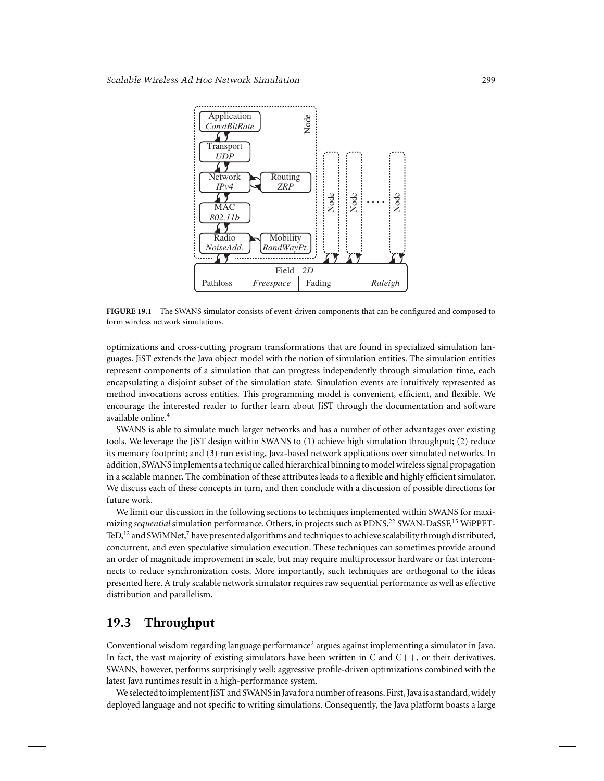

**FIGURE 19.1** The SWANS simulator consists of event-driven components that can be configured and composed to form wireless network simulations.

optimizations and cross-cutting program transformations that are found in specialized simulation languages. JiST extends the Java object model with the notion of simulation entities. The simulation entities represent components of a simulation that can progress independently through simulation time, each encapsulating a disjoint subset of the simulation state. Simulation events are intuitively represented as method invocations across entities. This programming model is convenient, efficient, and flexible. We encourage the interested reader to further learn about JiST through the documentation and software available online.4

SWANS is able to simulate much larger networks and has a number of other advantages over existing tools. We leverage the JiST design within SWANS to (1) achieve high simulation throughput; (2) reduce its memory footprint; and (3) run existing, Java-based network applications over simulated networks. In addition, SWANS implements a technique called hierarchical binning to model wireless signal propagation in a scalable manner. The combination of these attributes leads to a flexible and highly efficient simulator. We discuss each of these concepts in turn, and then conclude with a discussion of possible directions for future work.

We limit our discussion in the following sections to techniques implemented within SWANS for maximizing *sequential* simulation performance. Others, in projects such as PDNS,<sup>22</sup> SWAN-DaSSF,<sup>15</sup> WiPPET-TeD,<sup>12</sup> and SWiMNet,<sup>7</sup> have presented algorithms and techniques to achieve scalability through distributed, concurrent, and even speculative simulation execution. These techniques can sometimes provide around an order of magnitude improvement in scale, but may require multiprocessor hardware or fast interconnects to reduce synchronization costs. More importantly, such techniques are orthogonal to the ideas presented here. A truly scalable network simulator requires raw sequential performance as well as effective distribution and parallelism.

#### **19.3 Throughput**

Conventional wisdom regarding language performance<sup>2</sup> argues against implementing a simulator in Java. In fact, the vast majority of existing simulators have been written in C and  $C_{++}$ , or their derivatives. SWANS, however, performs surprisingly well: aggressive profile-driven optimizations combined with the latest Java runtimes result in a high-performance system.

We selected to implement JiST and SWANS in Java for a number of reasons. First, Java is a standard, widely deployed language and not specific to writing simulations. Consequently, the Java platform boasts a large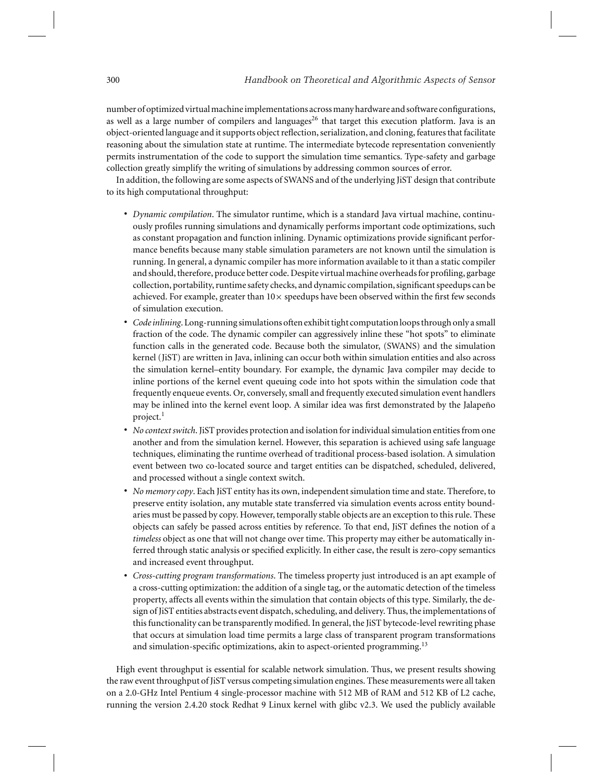number of optimized virtual machine implementations across many hardware and software configurations, as well as a large number of compilers and languages<sup>26</sup> that target this execution platform. Java is an object-oriented language and it supports object reflection, serialization, and cloning, features that facilitate reasoning about the simulation state at runtime. The intermediate bytecode representation conveniently permits instrumentation of the code to support the simulation time semantics. Type-safety and garbage collection greatly simplify the writing of simulations by addressing common sources of error.

In addition, the following are some aspects of SWANS and of the underlying JiST design that contribute to its high computational throughput:

- *Dynamic compilation*. The simulator runtime, which is a standard Java virtual machine, continuously profiles running simulations and dynamically performs important code optimizations, such as constant propagation and function inlining. Dynamic optimizations provide significant performance benefits because many stable simulation parameters are not known until the simulation is running. In general, a dynamic compiler has more information available to it than a static compiler and should, therefore, produce better code. Despite virtual machine overheads for profiling, garbage collection, portability, runtime safety checks, and dynamic compilation, significant speedups can be achieved. For example, greater than  $10\times$  speedups have been observed within the first few seconds of simulation execution.
- *Code inlining*. Long-running simulations often exhibit tight computation loops through only a small fraction of the code. The dynamic compiler can aggressively inline these "hot spots" to eliminate function calls in the generated code. Because both the simulator, (SWANS) and the simulation kernel (JiST) are written in Java, inlining can occur both within simulation entities and also across the simulation kernel–entity boundary. For example, the dynamic Java compiler may decide to inline portions of the kernel event queuing code into hot spots within the simulation code that frequently enqueue events. Or, conversely, small and frequently executed simulation event handlers may be inlined into the kernel event loop. A similar idea was first demonstrated by the Jalapeño project.<sup>1</sup>
- *No context switch*. JiST provides protection and isolation for individual simulation entities from one another and from the simulation kernel. However, this separation is achieved using safe language techniques, eliminating the runtime overhead of traditional process-based isolation. A simulation event between two co-located source and target entities can be dispatched, scheduled, delivered, and processed without a single context switch.
- *No memory copy*. Each JiST entity has its own, independent simulation time and state. Therefore, to preserve entity isolation, any mutable state transferred via simulation events across entity boundaries must be passed by copy. However, temporally stable objects are an exception to this rule. These objects can safely be passed across entities by reference. To that end, JiST defines the notion of a *timeless* object as one that will not change over time. This property may either be automatically inferred through static analysis or specified explicitly. In either case, the result is zero-copy semantics and increased event throughput.
- *Cross-cutting program transformations*. The timeless property just introduced is an apt example of a cross-cutting optimization: the addition of a single tag, or the automatic detection of the timeless property, affects all events within the simulation that contain objects of this type. Similarly, the design of JiST entities abstracts event dispatch, scheduling, and delivery. Thus, the implementations of this functionality can be transparently modified. In general, the JiST bytecode-level rewriting phase that occurs at simulation load time permits a large class of transparent program transformations and simulation-specific optimizations, akin to aspect-oriented programming.<sup>13</sup>

High event throughput is essential for scalable network simulation. Thus, we present results showing the raw event throughput of JiST versus competing simulation engines. These measurements were all taken on a 2.0-GHz Intel Pentium 4 single-processor machine with 512 MB of RAM and 512 KB of L2 cache, running the version 2.4.20 stock Redhat 9 Linux kernel with glibc v2.3. We used the publicly available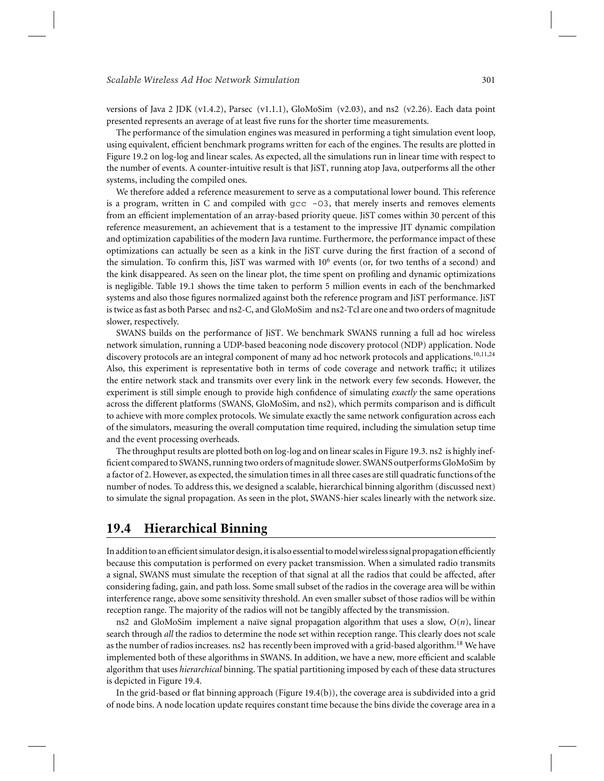versions of Java 2 JDK (v1.4.2), Parsec (v1.1.1), GloMoSim (v2.03), and ns2 (v2.26). Each data point presented represents an average of at least five runs for the shorter time measurements.

The performance of the simulation engines was measured in performing a tight simulation event loop, using equivalent, efficient benchmark programs written for each of the engines. The results are plotted in Figure 19.2 on log-log and linear scales. As expected, all the simulations run in linear time with respect to the number of events. A counter-intuitive result is that JiST, running atop Java, outperforms all the other systems, including the compiled ones.

We therefore added a reference measurement to serve as a computational lower bound. This reference is a program, written in C and compiled with  $\rm{gcc}$  -O3, that merely inserts and removes elements from an efficient implementation of an array-based priority queue. JiST comes within 30 percent of this reference measurement, an achievement that is a testament to the impressive JIT dynamic compilation and optimization capabilities of the modern Java runtime. Furthermore, the performance impact of these optimizations can actually be seen as a kink in the JiST curve during the first fraction of a second of the simulation. To confirm this, JiST was warmed with  $10<sup>6</sup>$  events (or, for two tenths of a second) and the kink disappeared. As seen on the linear plot, the time spent on profiling and dynamic optimizations is negligible. Table 19.1 shows the time taken to perform 5 million events in each of the benchmarked systems and also those figures normalized against both the reference program and JiST performance. JiST is twice as fast as both Parsec and ns2-C, and GloMoSim and ns2-Tcl are one and two orders of magnitude slower, respectively.

SWANS builds on the performance of JiST. We benchmark SWANS running a full ad hoc wireless network simulation, running a UDP-based beaconing node discovery protocol (NDP) application. Node discovery protocols are an integral component of many ad hoc network protocols and applications.<sup>10,11,24</sup> Also, this experiment is representative both in terms of code coverage and network traffic; it utilizes the entire network stack and transmits over every link in the network every few seconds. However, the experiment is still simple enough to provide high confidence of simulating *exactly* the same operations across the different platforms (SWANS, GloMoSim, and ns2), which permits comparison and is difficult to achieve with more complex protocols. We simulate exactly the same network configuration across each of the simulators, measuring the overall computation time required, including the simulation setup time and the event processing overheads.

The throughput results are plotted both on log-log and on linear scales in Figure 19.3. ns2 is highly inefficient compared to SWANS, running two orders of magnitude slower. SWANS outperforms GloMoSim by a factor of 2. However, as expected, the simulation times in all three cases are still quadratic functions of the number of nodes. To address this, we designed a scalable, hierarchical binning algorithm (discussed next) to simulate the signal propagation. As seen in the plot, SWANS-hier scales linearly with the network size.

# **19.4 Hierarchical Binning**

In addition to an efficient simulator design, it is also essential to model wireless signal propagation efficiently because this computation is performed on every packet transmission. When a simulated radio transmits a signal, SWANS must simulate the reception of that signal at all the radios that could be affected, after considering fading, gain, and path loss. Some small subset of the radios in the coverage area will be within interference range, above some sensitivity threshold. An even smaller subset of those radios will be within reception range. The majority of the radios will not be tangibly affected by the transmission.

ns2 and GloMoSim implement a naïve signal propagation algorithm that uses a slow,  $O(n)$ , linear search through *all* the radios to determine the node set within reception range. This clearly does not scale as the number of radios increases. ns2 has recently been improved with a grid-based algorithm.<sup>18</sup> We have implemented both of these algorithms in SWANS. In addition, we have a new, more efficient and scalable algorithm that uses *hierarchical* binning. The spatial partitioning imposed by each of these data structures is depicted in Figure 19.4.

In the grid-based or flat binning approach (Figure 19.4(b)), the coverage area is subdivided into a grid of node bins. A node location update requires constant time because the bins divide the coverage area in a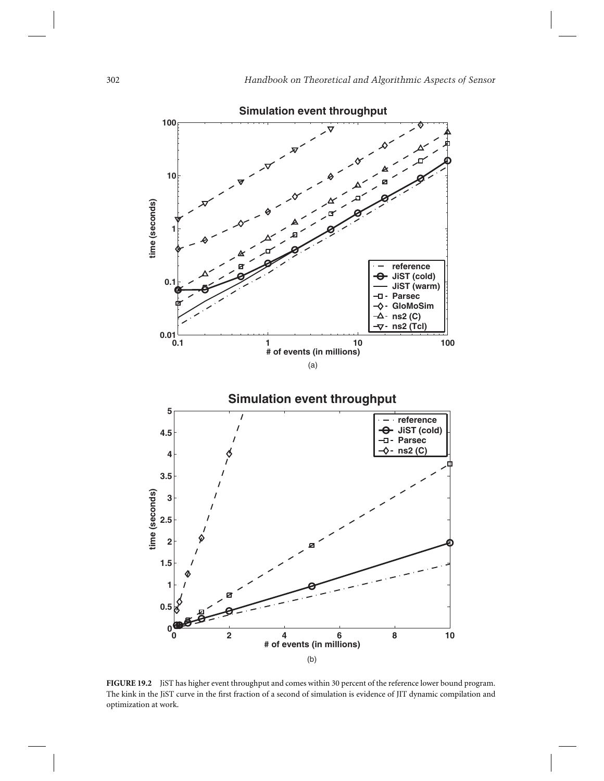

**FIGURE 19.2** JiST has higher event throughput and comes within 30 percent of the reference lower bound program. The kink in the JiST curve in the first fraction of a second of simulation is evidence of JIT dynamic compilation and optimization at work.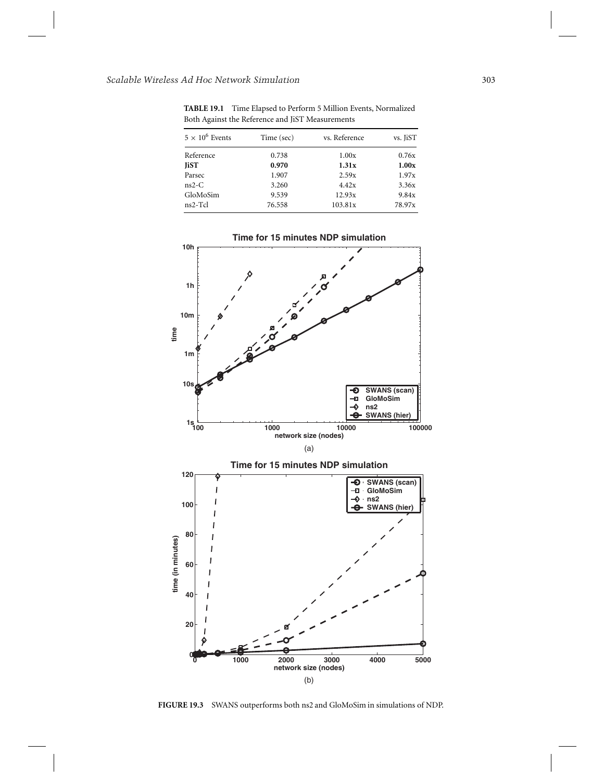| both rigamot the iterefered and not inteasanchiems |            |               |          |  |  |  |
|----------------------------------------------------|------------|---------------|----------|--|--|--|
| $5 \times 10^6$ Events                             | Time (sec) | vs. Reference | vs. JiST |  |  |  |
| Reference                                          | 0.738      | 1.00x         | 0.76x    |  |  |  |
| <b>JiST</b>                                        | 0.970      | 1.31x         | 1.00x    |  |  |  |
| Parsec                                             | 1.907      | 2.59x         | 1.97x    |  |  |  |
| $ns2-C$                                            | 3.260      | 4.42x         | 3.36x    |  |  |  |
| GloMoSim                                           | 9.539      | 12.93x        | 9.84x    |  |  |  |
| ns2-Tcl                                            | 76.558     | 103.81x       | 78.97x   |  |  |  |
|                                                    |            |               |          |  |  |  |

**TABLE 19.1** Time Elapsed to Perform 5 Million Events, Normalized Both Against the Reference and JiST Measurements



**Time for 15 minutes NDP simulation**

**FIGURE 19.3** SWANS outperforms both ns2 and GloMoSim in simulations of NDP.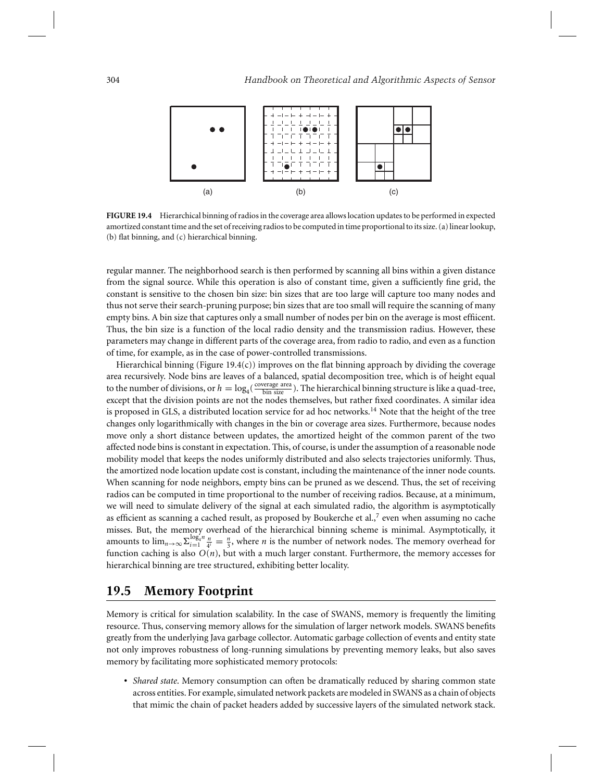

**FIGURE 19.4** Hierarchical binning of radios in the coverage area allows location updates to be performed in expected amortized constant time and the set of receiving radios to be computed in time proportional to its size. (a) linear lookup, (b) flat binning, and (c) hierarchical binning.

regular manner. The neighborhood search is then performed by scanning all bins within a given distance from the signal source. While this operation is also of constant time, given a sufficiently fine grid, the constant is sensitive to the chosen bin size: bin sizes that are too large will capture too many nodes and thus not serve their search-pruning purpose; bin sizes that are too small will require the scanning of many empty bins. A bin size that captures only a small number of nodes per bin on the average is most effiicent. Thus, the bin size is a function of the local radio density and the transmission radius. However, these parameters may change in different parts of the coverage area, from radio to radio, and even as a function of time, for example, as in the case of power-controlled transmissions.

Hierarchical binning (Figure 19.4(c)) improves on the flat binning approach by dividing the coverage area recursively. Node bins are leaves of a balanced, spatial decomposition tree, which is of height equal to the number of divisions, or  $h = \log_4(\frac{\text{coverage area}}{\text{bin size}})$ . The hierarchical binning structure is like a quad-tree, except that the division points are not the nodes themselves, but rather fixed coordinates. A similar idea is proposed in GLS, a distributed location service for ad hoc networks.<sup>14</sup> Note that the height of the tree changes only logarithmically with changes in the bin or coverage area sizes. Furthermore, because nodes move only a short distance between updates, the amortized height of the common parent of the two affected node bins is constant in expectation. This, of course, is under the assumption of a reasonable node mobility model that keeps the nodes uniformly distributed and also selects trajectories uniformly. Thus, the amortized node location update cost is constant, including the maintenance of the inner node counts. When scanning for node neighbors, empty bins can be pruned as we descend. Thus, the set of receiving radios can be computed in time proportional to the number of receiving radios. Because, at a minimum, we will need to simulate delivery of the signal at each simulated radio, the algorithm is asymptotically as efficient as scanning a cached result, as proposed by Boukerche et al., $^7$  even when assuming no cache misses. But, the memory overhead of the hierarchical binning scheme is minimal. Asymptotically, it amounts to  $\lim_{n\to\infty} \sum_{i=1}^{\log_4^n} \frac{n}{4^i} = \frac{n}{3}$ , where *n* is the number of network nodes. The memory overhead for function caching is also  $O(n)$ , but with a much larger constant. Furthermore, the memory accesses for hierarchical binning are tree structured, exhibiting better locality.

#### **19.5 Memory Footprint**

Memory is critical for simulation scalability. In the case of SWANS, memory is frequently the limiting resource. Thus, conserving memory allows for the simulation of larger network models. SWANS benefits greatly from the underlying Java garbage collector. Automatic garbage collection of events and entity state not only improves robustness of long-running simulations by preventing memory leaks, but also saves memory by facilitating more sophisticated memory protocols:

 *Shared state*. Memory consumption can often be dramatically reduced by sharing common state across entities. For example, simulated network packets are modeled in SWANS as a chain of objects that mimic the chain of packet headers added by successive layers of the simulated network stack.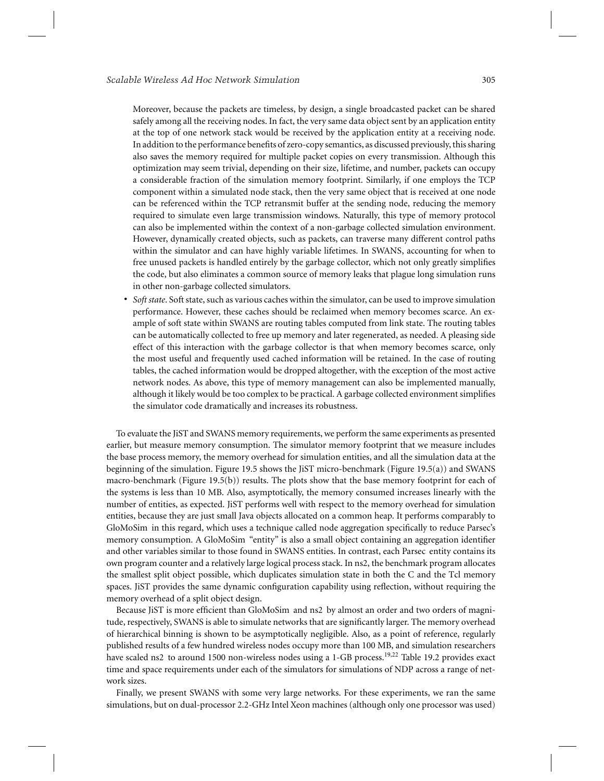Moreover, because the packets are timeless, by design, a single broadcasted packet can be shared safely among all the receiving nodes. In fact, the very same data object sent by an application entity at the top of one network stack would be received by the application entity at a receiving node. In addition to the performance benefits of zero-copy semantics, as discussed previously, this sharing also saves the memory required for multiple packet copies on every transmission. Although this optimization may seem trivial, depending on their size, lifetime, and number, packets can occupy a considerable fraction of the simulation memory footprint. Similarly, if one employs the TCP component within a simulated node stack, then the very same object that is received at one node can be referenced within the TCP retransmit buffer at the sending node, reducing the memory required to simulate even large transmission windows. Naturally, this type of memory protocol can also be implemented within the context of a non-garbage collected simulation environment. However, dynamically created objects, such as packets, can traverse many different control paths within the simulator and can have highly variable lifetimes. In SWANS, accounting for when to free unused packets is handled entirely by the garbage collector, which not only greatly simplifies the code, but also eliminates a common source of memory leaks that plague long simulation runs in other non-garbage collected simulators.

 *Soft state*. Soft state, such as various caches within the simulator, can be used to improve simulation performance. However, these caches should be reclaimed when memory becomes scarce. An example of soft state within SWANS are routing tables computed from link state. The routing tables can be automatically collected to free up memory and later regenerated, as needed. A pleasing side effect of this interaction with the garbage collector is that when memory becomes scarce, only the most useful and frequently used cached information will be retained. In the case of routing tables, the cached information would be dropped altogether, with the exception of the most active network nodes. As above, this type of memory management can also be implemented manually, although it likely would be too complex to be practical. A garbage collected environment simplifies the simulator code dramatically and increases its robustness.

To evaluate the JiST and SWANS memory requirements, we perform the same experiments as presented earlier, but measure memory consumption. The simulator memory footprint that we measure includes the base process memory, the memory overhead for simulation entities, and all the simulation data at the beginning of the simulation. Figure 19.5 shows the JiST micro-benchmark (Figure 19.5(a)) and SWANS macro-benchmark (Figure 19.5(b)) results. The plots show that the base memory footprint for each of the systems is less than 10 MB. Also, asymptotically, the memory consumed increases linearly with the number of entities, as expected. JiST performs well with respect to the memory overhead for simulation entities, because they are just small Java objects allocated on a common heap. It performs comparably to GloMoSim in this regard, which uses a technique called node aggregation specifically to reduce Parsec's memory consumption. A GloMoSim "entity" is also a small object containing an aggregation identifier and other variables similar to those found in SWANS entities. In contrast, each Parsec entity contains its own program counter and a relatively large logical process stack. In ns2, the benchmark program allocates the smallest split object possible, which duplicates simulation state in both the C and the Tcl memory spaces. JiST provides the same dynamic configuration capability using reflection, without requiring the memory overhead of a split object design.

Because JiST is more efficient than GloMoSim and ns2 by almost an order and two orders of magnitude, respectively, SWANS is able to simulate networks that are significantly larger. The memory overhead of hierarchical binning is shown to be asymptotically negligible. Also, as a point of reference, regularly published results of a few hundred wireless nodes occupy more than 100 MB, and simulation researchers have scaled ns2 to around 1500 non-wireless nodes using a 1-GB process.<sup>19,22</sup> Table 19.2 provides exact time and space requirements under each of the simulators for simulations of NDP across a range of network sizes.

Finally, we present SWANS with some very large networks. For these experiments, we ran the same simulations, but on dual-processor 2.2-GHz Intel Xeon machines (although only one processor was used)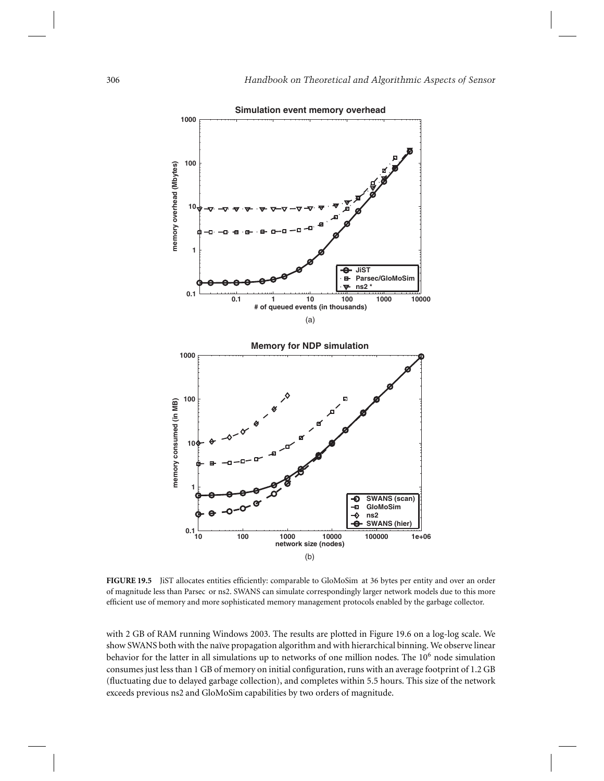

**FIGURE 19.5** JiST allocates entities efficiently: comparable to GloMoSim at 36 bytes per entity and over an order of magnitude less than Parsec or ns2. SWANS can simulate correspondingly larger network models due to this more efficient use of memory and more sophisticated memory management protocols enabled by the garbage collector.

with 2 GB of RAM running Windows 2003. The results are plotted in Figure 19.6 on a log-log scale. We show SWANS both with the naïve propagation algorithm and with hierarchical binning. We observe linear behavior for the latter in all simulations up to networks of one million nodes. The 10<sup>6</sup> node simulation consumes just less than 1 GB of memory on initial configuration, runs with an average footprint of 1.2 GB (fluctuating due to delayed garbage collection), and completes within 5.5 hours. This size of the network exceeds previous ns2 and GloMoSim capabilities by two orders of magnitude.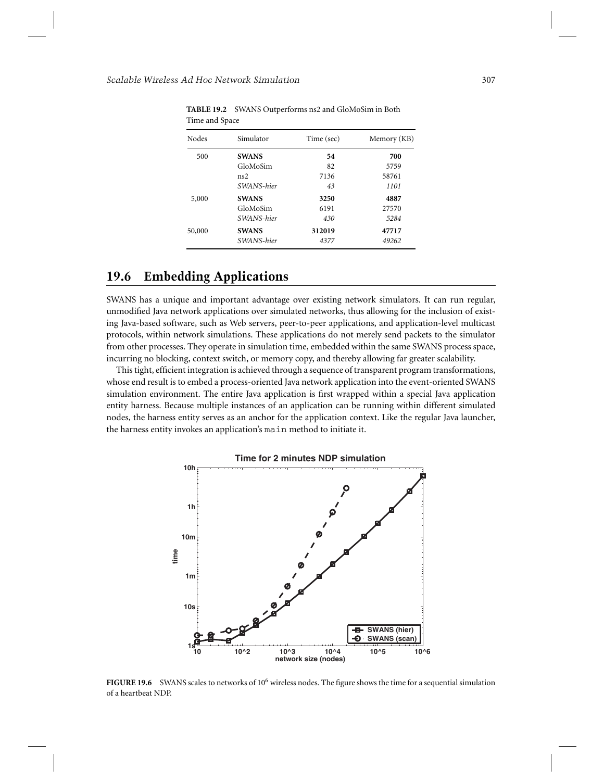| <b>Nodes</b> | Simulator    | Time (sec) | Memory (KB) |
|--------------|--------------|------------|-------------|
| 500          | <b>SWANS</b> | 54         | 700         |
|              | GloMoSim     | 82         | 5759        |
|              | ns2          | 7136       | 58761       |
|              | SWANS-hier   | 43         | 1101        |
| 5,000        | <b>SWANS</b> | 3250       | 4887        |
|              | GloMoSim     | 6191       | 27570       |
|              | SWANS-hier   | 430        | 5284        |
| 50,000       | <b>SWANS</b> | 312019     | 47717       |
|              | SWANS-hier   | 4377       | 49262       |

**TABLE 19.2** SWANS Outperforms ns2 and GloMoSim in Both Time and Space

# **19.6 Embedding Applications**

SWANS has a unique and important advantage over existing network simulators. It can run regular, unmodified Java network applications over simulated networks, thus allowing for the inclusion of existing Java-based software, such as Web servers, peer-to-peer applications, and application-level multicast protocols, within network simulations. These applications do not merely send packets to the simulator from other processes. They operate in simulation time, embedded within the same SWANS process space, incurring no blocking, context switch, or memory copy, and thereby allowing far greater scalability.

This tight, efficient integration is achieved through a sequence of transparent program transformations, whose end result is to embed a process-oriented Java network application into the event-oriented SWANS simulation environment. The entire Java application is first wrapped within a special Java application entity harness. Because multiple instances of an application can be running within different simulated nodes, the harness entity serves as an anchor for the application context. Like the regular Java launcher, the harness entity invokes an application's main method to initiate it.



**FIGURE 19.6** SWANS scales to networks of 10<sup>6</sup> wireless nodes. The figure shows the time for a sequential simulation of a heartbeat NDP.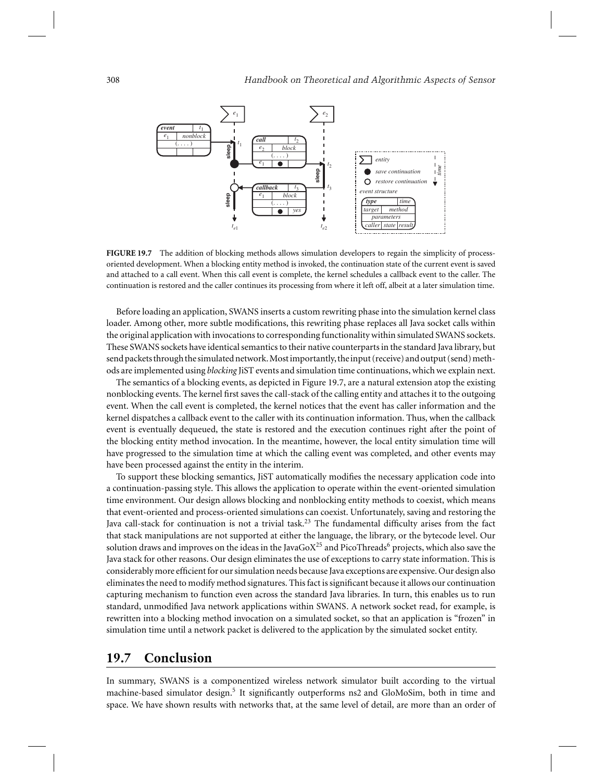

**FIGURE 19.7** The addition of blocking methods allows simulation developers to regain the simplicity of processoriented development. When a blocking entity method is invoked, the continuation state of the current event is saved and attached to a call event. When this call event is complete, the kernel schedules a callback event to the caller. The continuation is restored and the caller continues its processing from where it left off, albeit at a later simulation time.

Before loading an application, SWANS inserts a custom rewriting phase into the simulation kernel class loader. Among other, more subtle modifications, this rewriting phase replaces all Java socket calls within the original application with invocations to corresponding functionality within simulated SWANS sockets. These SWANS sockets have identical semantics to their native counterparts in the standard Java library, but send packets through the simulated network. Most importantly, the input (receive) and output (send) methods are implemented using *blocking* JiST events and simulation time continuations, which we explain next.

The semantics of a blocking events, as depicted in Figure 19.7, are a natural extension atop the existing nonblocking events. The kernel first saves the call-stack of the calling entity and attaches it to the outgoing event. When the call event is completed, the kernel notices that the event has caller information and the kernel dispatches a callback event to the caller with its continuation information. Thus, when the callback event is eventually dequeued, the state is restored and the execution continues right after the point of the blocking entity method invocation. In the meantime, however, the local entity simulation time will have progressed to the simulation time at which the calling event was completed, and other events may have been processed against the entity in the interim.

To support these blocking semantics, JiST automatically modifies the necessary application code into a continuation-passing style. This allows the application to operate within the event-oriented simulation time environment. Our design allows blocking and nonblocking entity methods to coexist, which means that event-oriented and process-oriented simulations can coexist. Unfortunately, saving and restoring the Java call-stack for continuation is not a trivial task.<sup>23</sup> The fundamental difficulty arises from the fact that stack manipulations are not supported at either the language, the library, or the bytecode level. Our solution draws and improves on the ideas in the JavaGoX<sup>25</sup> and PicoThreads<sup>6</sup> projects, which also save the Java stack for other reasons. Our design eliminates the use of exceptions to carry state information. This is considerably more efficient for our simulation needs because Java exceptions are expensive. Our design also eliminates the need to modify method signatures. This fact is significant because it allows our continuation capturing mechanism to function even across the standard Java libraries. In turn, this enables us to run standard, unmodified Java network applications within SWANS. A network socket read, for example, is rewritten into a blocking method invocation on a simulated socket, so that an application is "frozen" in simulation time until a network packet is delivered to the application by the simulated socket entity.

#### **19.7 Conclusion**

In summary, SWANS is a componentized wireless network simulator built according to the virtual machine-based simulator design.<sup>5</sup> It significantly outperforms ns2 and GloMoSim, both in time and space. We have shown results with networks that, at the same level of detail, are more than an order of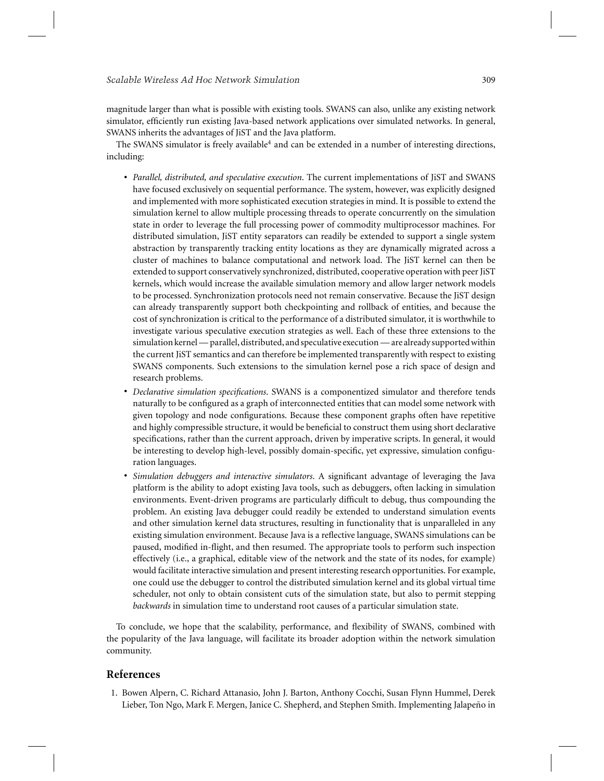magnitude larger than what is possible with existing tools. SWANS can also, unlike any existing network simulator, efficiently run existing Java-based network applications over simulated networks. In general, SWANS inherits the advantages of JiST and the Java platform.

The SWANS simulator is freely available $^4$  and can be extended in a number of interesting directions, including:

- *Parallel, distributed, and speculative execution*. The current implementations of JiST and SWANS have focused exclusively on sequential performance. The system, however, was explicitly designed and implemented with more sophisticated execution strategies in mind. It is possible to extend the simulation kernel to allow multiple processing threads to operate concurrently on the simulation state in order to leverage the full processing power of commodity multiprocessor machines. For distributed simulation, JiST entity separators can readily be extended to support a single system abstraction by transparently tracking entity locations as they are dynamically migrated across a cluster of machines to balance computational and network load. The JiST kernel can then be extended to support conservatively synchronized, distributed, cooperative operation with peer JiST kernels, which would increase the available simulation memory and allow larger network models to be processed. Synchronization protocols need not remain conservative. Because the JiST design can already transparently support both checkpointing and rollback of entities, and because the cost of synchronization is critical to the performance of a distributed simulator, it is worthwhile to investigate various speculative execution strategies as well. Each of these three extensions to the simulation kernel — parallel, distributed, and speculative execution —are already supported within the current JiST semantics and can therefore be implemented transparently with respect to existing SWANS components. Such extensions to the simulation kernel pose a rich space of design and research problems.
- *Declarative simulation specifications*. SWANS is a componentized simulator and therefore tends naturally to be configured as a graph of interconnected entities that can model some network with given topology and node configurations. Because these component graphs often have repetitive and highly compressible structure, it would be beneficial to construct them using short declarative specifications, rather than the current approach, driven by imperative scripts. In general, it would be interesting to develop high-level, possibly domain-specific, yet expressive, simulation configuration languages.
- *Simulation debuggers and interactive simulators*. A significant advantage of leveraging the Java platform is the ability to adopt existing Java tools, such as debuggers, often lacking in simulation environments. Event-driven programs are particularly difficult to debug, thus compounding the problem. An existing Java debugger could readily be extended to understand simulation events and other simulation kernel data structures, resulting in functionality that is unparalleled in any existing simulation environment. Because Java is a reflective language, SWANS simulations can be paused, modified in-flight, and then resumed. The appropriate tools to perform such inspection effectively (i.e., a graphical, editable view of the network and the state of its nodes, for example) would facilitate interactive simulation and present interesting research opportunities. For example, one could use the debugger to control the distributed simulation kernel and its global virtual time scheduler, not only to obtain consistent cuts of the simulation state, but also to permit stepping *backwards* in simulation time to understand root causes of a particular simulation state.

To conclude, we hope that the scalability, performance, and flexibility of SWANS, combined with the popularity of the Java language, will facilitate its broader adoption within the network simulation community.

#### **References**

1. Bowen Alpern, C. Richard Attanasio, John J. Barton, Anthony Cocchi, Susan Flynn Hummel, Derek Lieber, Ton Ngo, Mark F. Mergen, Janice C. Shepherd, and Stephen Smith. Implementing Jalapeño in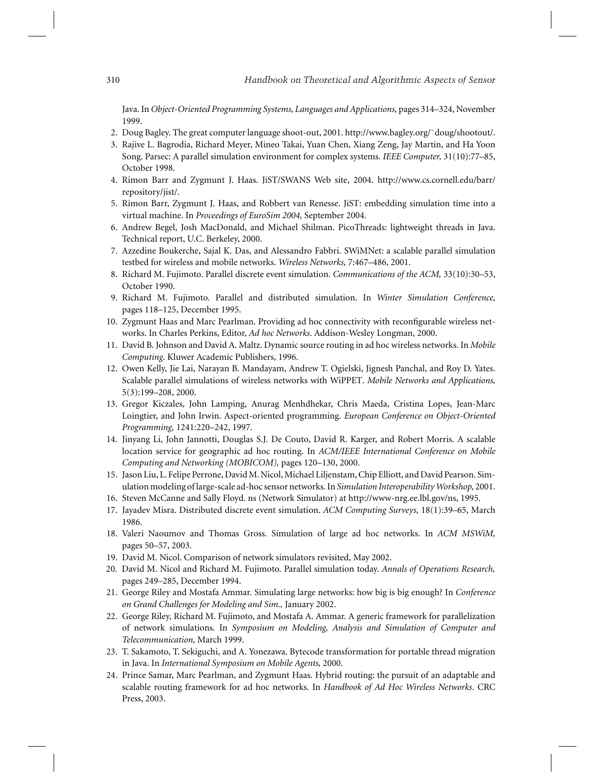Java. In *Object-Oriented Programming Systems, Languages and Applications,* pages 314–324, November 1999.

- 2. Doug Bagley. The great computer language shoot-out, 2001. http://www.bagley.org/˜doug/shootout/.
- 3. Rajive L. Bagrodia, Richard Meyer, Mineo Takai, Yuan Chen, Xiang Zeng, Jay Martin, and Ha Yoon Song. Parsec: A parallel simulation environment for complex systems. *IEEE Computer,* 31(10):77–85, October 1998.
- 4. Rimon Barr and Zygmunt J. Haas. JiST/SWANS Web site, 2004. http://www.cs.cornell.edu/barr/ repository/jist/.
- 5. Rimon Barr, Zygmunt J. Haas, and Robbert van Renesse. JiST: embedding simulation time into a virtual machine. In *Proceedings of EuroSim 2004,* September 2004.
- 6. Andrew Begel, Josh MacDonald, and Michael Shilman. PicoThreads: lightweight threads in Java. Technical report, U.C. Berkeley, 2000.
- 7. Azzedine Boukerche, Sajal K. Das, and Alessandro Fabbri. SWiMNet: a scalable parallel simulation testbed for wireless and mobile networks. *Wireless Networks,* 7:467–486, 2001.
- 8. Richard M. Fujimoto. Parallel discrete event simulation. *Communications of the ACM,* 33(10):30–53, October 1990.
- 9. Richard M. Fujimoto. Parallel and distributed simulation. In *Winter Simulation Conference,* pages 118–125, December 1995.
- 10. Zygmunt Haas and Marc Pearlman. Providing ad hoc connectivity with reconfigurable wireless networks. In Charles Perkins, Editor, *Ad hoc Networks*. Addison-Wesley Longman, 2000.
- 11. David B. Johnson and David A. Maltz. Dynamic source routing in ad hoc wireless networks. In *Mobile Computing*. Kluwer Academic Publishers, 1996.
- 12. Owen Kelly, Jie Lai, Narayan B. Mandayam, Andrew T. Ogielski, Jignesh Panchal, and Roy D. Yates. Scalable parallel simulations of wireless networks with WiPPET. *Mobile Networks and Applications,* 5(3):199–208, 2000.
- 13. Gregor Kiczales, John Lamping, Anurag Menhdhekar, Chris Maeda, Cristina Lopes, Jean-Marc Loingtier, and John Irwin. Aspect-oriented programming. *European Conference on Object-Oriented Programming,* 1241:220–242, 1997.
- 14. Jinyang Li, John Jannotti, Douglas S.J. De Couto, David R. Karger, and Robert Morris. A scalable location service for geographic ad hoc routing. In *ACM/IEEE International Conference on Mobile Computing and Networking (MOBICOM),* pages 120–130, 2000.
- 15. Jason Liu, L. Felipe Perrone, David M. Nicol, Michael Liljenstam, Chip Elliott, and David Pearson. Simulation modeling of large-scale ad-hoc sensor networks. In *Simulation Interoperability Workshop,* 2001.
- 16. Steven McCanne and Sally Floyd. ns (Network Simulator) at http://www-nrg.ee.lbl.gov/ns, 1995.
- 17. Jayadev Misra. Distributed discrete event simulation. *ACM Computing Surveys,* 18(1):39–65, March 1986.
- 18. Valeri Naoumov and Thomas Gross. Simulation of large ad hoc networks. In *ACM MSWiM,* pages 50–57, 2003.
- 19. David M. Nicol. Comparison of network simulators revisited, May 2002.
- 20. David M. Nicol and Richard M. Fujimoto. Parallel simulation today. *Annals of Operations Research,* pages 249–285, December 1994.
- 21. George Riley and Mostafa Ammar. Simulating large networks: how big is big enough? In *Conference on Grand Challenges for Modeling and Sim.,* January 2002.
- 22. George Riley, Richard M. Fujimoto, and Mostafa A. Ammar. A generic framework for parallelization of network simulations. In *Symposium on Modeling, Analysis and Simulation of Computer and Telecommunication,* March 1999.
- 23. T. Sakamoto, T. Sekiguchi, and A. Yonezawa. Bytecode transformation for portable thread migration in Java. In *International Symposium on Mobile Agents,* 2000.
- 24. Prince Samar, Marc Pearlman, and Zygmunt Haas. Hybrid routing: the pursuit of an adaptable and scalable routing framework for ad hoc networks. In *Handbook of Ad Hoc Wireless Networks*. CRC Press, 2003.